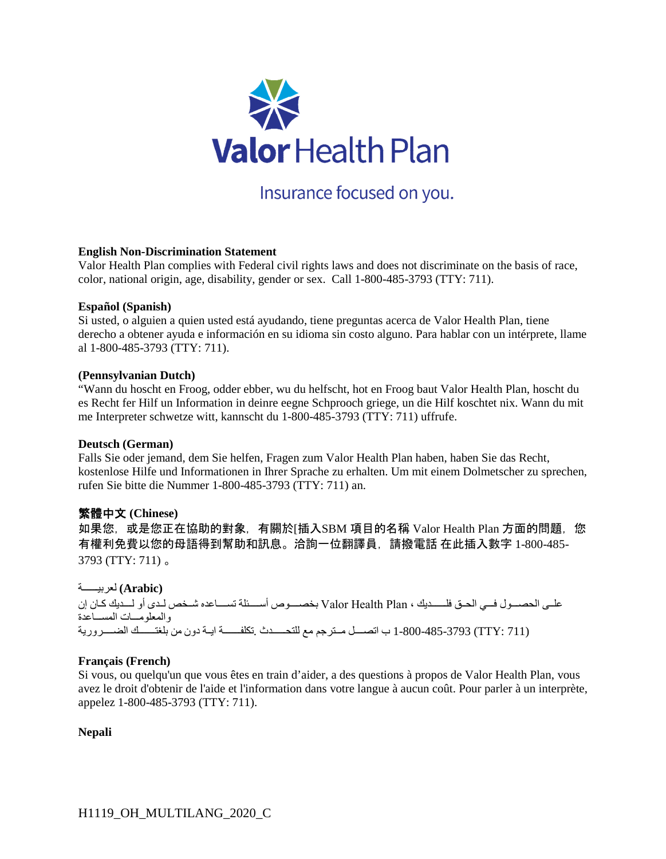

Insurance focused on you.

### **English Non-Discrimination Statement**

Valor Health Plan complies with Federal civil rights laws and does not discriminate on the basis of race, color, national origin, age, disability, gender or sex. Call 1-800-485-3793 (TTY: 711).

### **Español (Spanish)**

Si usted, o alguien a quien usted está ayudando, tiene preguntas acerca de Valor Health Plan, tiene derecho a obtener ayuda e información en su idioma sin costo alguno. Para hablar con un intérprete, llame al 1-800-485-3793 (TTY: 711).

#### **(Pennsylvanian Dutch)**

"Wann du hoscht en Froog, odder ebber, wu du helfscht, hot en Froog baut Valor Health Plan, hoscht du es Recht fer Hilf un Information in deinre eegne Schprooch griege, un die Hilf koschtet nix. Wann du mit me Interpreter schwetze witt, kannscht du 1-800-485-3793 (TTY: 711) uffrufe.

### **Deutsch (German)**

Falls Sie oder jemand, dem Sie helfen, Fragen zum Valor Health Plan haben, haben Sie das Recht, kostenlose Hilfe und Informationen in Ihrer Sprache zu erhalten. Um mit einem Dolmetscher zu sprechen, rufen Sie bitte die Nummer 1-800-485-3793 (TTY: 711) an.

## 繁體中文 **(Chinese)**

如果您,或是您正在協助的對象,有關於[插入SBM 項目的名稱 Valor Health Plan 方面的問題,您 有權利免費以您的母語得到幫助和訊息。洽詢一位翻譯員,請撥電話 在此插入數字 1-800-485- 3793 (TTY: 711) 。

 **(Arabic (**لعربیة

على الحصول في الحق فلدیك ، Plan Health Valor بخصوص أسئلة تساعده شخص لدى أو لدیك كان إن والمعلومسات المسساعدة (711 :TTY (1-800-485-3793 ب اتصل مترجم مع للتحدث .تكلفة ایة دون من بلغتك الضروریة

### **Français (French)**

Si vous, ou quelqu'un que vous êtes en train d'aider, a des questions à propos de Valor Health Plan, vous avez le droit d'obtenir de l'aide et l'information dans votre langue à aucun coût. Pour parler à un interprète, appelez 1-800-485-3793 (TTY: 711).

### **Nepali**